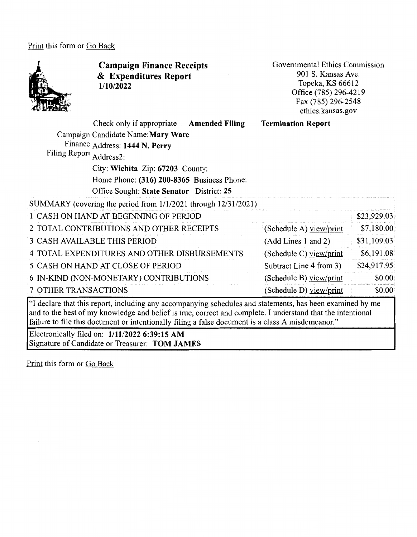Print this form or Go Back



**Campaign Finance Receipts**  & **Expenditures Report 1/10/2022** 

Governmental Ethics Commission 901 S. Kansas Ave. Topeka, KS 66612 Office (785) 296-4219 Fax (785) 296-2548 ethics.kansas.gov

|                             | Check only if appropriate Amended Filing                                                                  | <b>Termination Report</b> |             |
|-----------------------------|-----------------------------------------------------------------------------------------------------------|---------------------------|-------------|
|                             | Campaign Candidate Name: Mary Ware                                                                        |                           |             |
|                             | Finance Address: 1444 N. Perry                                                                            |                           |             |
| Filing Report Address2:     |                                                                                                           |                           |             |
|                             | City: Wichita Zip: 67203 County:                                                                          |                           |             |
|                             | Home Phone: (316) 200-8365 Business Phone:                                                                |                           |             |
|                             | Office Sought: State Senator District: 25                                                                 |                           |             |
|                             | SUMMARY (covering the period from 1/1/2021 through 12/31/2021)                                            |                           |             |
|                             | 1 CASH ON HAND AT BEGINNING OF PERIOD                                                                     |                           | \$23,929.03 |
|                             | 2 TOTAL CONTRIBUTIONS AND OTHER RECEIPTS                                                                  | (Schedule A) view/print   | \$7,180.00  |
|                             | <b>3 CASH AVAILABLE THIS PERIOD</b>                                                                       | (Add Lines 1 and 2)       | \$31,109.03 |
|                             | 4 TOTAL EXPENDITURES AND OTHER DISBURSEMENTS                                                              | (Schedule C) $view/print$ | \$6,191.08  |
|                             | 5 CASH ON HAND AT CLOSE OF PERIOD                                                                         | Subtract Line 4 from 3)   | \$24,917.95 |
|                             | 6 IN-KIND (NON-MONETARY) CONTRIBUTIONS                                                                    | (Schedule B) view/print   | \$0.00      |
| <b>7 OTHER TRANSACTIONS</b> |                                                                                                           | (Schedule D) view/print   | \$0.00      |
|                             | If declare that this report, including any accompanying schedules and statements, has been examined by me |                           |             |

"I declare that this report, including any accompanying schedules and statements, has been examined by me and to the best of my knowledge and belief is true, correct and complete. I understand that the intentional failure to file this document or intentionally filing a false document is a class A misdemeanor."

Electronically filed on: **1/11/2022 6:39:15 AM**  Signature of Candidate or Treasurer: **TOM JAMES** 

Print this form or Go Back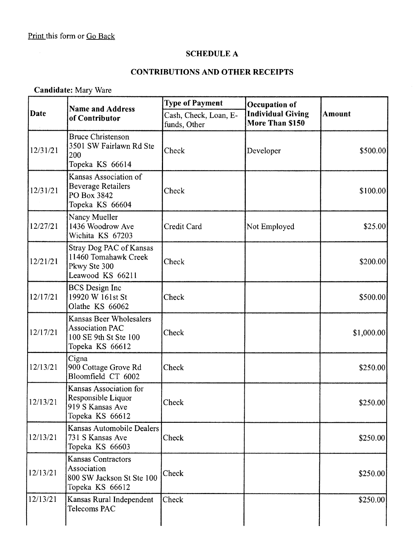# **SCHEDULE A**

## **CONTRIBUTIONS AND OTHER RECEIPTS**

**Candidate:** Mary Ware

|             | <b>Name and Address</b>                                                                       | <b>Type of Payment</b>                | Occupation of                               |               |
|-------------|-----------------------------------------------------------------------------------------------|---------------------------------------|---------------------------------------------|---------------|
| <b>Date</b> | of Contributor                                                                                | Cash, Check, Loan, E-<br>funds, Other | <b>Individual Giving</b><br>More Than \$150 | <b>Amount</b> |
| 12/31/21    | <b>Bruce Christenson</b><br>3501 SW Fairlawn Rd Ste<br>200<br>Topeka KS 66614                 | Check                                 | Developer                                   | \$500.00      |
| 12/31/21    | Kansas Association of<br><b>Beverage Retailers</b><br>PO Box 3842<br>Topeka KS 66604          | Check                                 |                                             | \$100.00]     |
| 12/27/21    | Nancy Mueller<br>1436 Woodrow Ave<br>Wichita KS 67203                                         | Credit Card                           | Not Employed                                | \$25.00       |
| 12/21/21    | Stray Dog PAC of Kansas<br>11460 Tomahawk Creek<br>Pkwy Ste 300<br>Leawood KS 66211           | Check                                 |                                             | \$200.00]     |
| 12/17/21    | <b>BCS</b> Design Inc<br>19920 W 161st St<br>Olathe KS 66062                                  | Check                                 |                                             | \$500.00      |
| 12/17/21    | Kansas Beer Wholesalers<br><b>Association PAC</b><br>100 SE 9th St Ste 100<br>Topeka KS 66612 | Check                                 |                                             | \$1,000.00]   |
| 12/13/21    | Cigna<br>900 Cottage Grove Rd<br>Bloomfield CT 6002                                           | Check                                 |                                             | \$250.00      |
| 12/13/21    | Kansas Association for<br>Responsible Liquor<br>919 S Kansas Ave<br>Topeka KS 66612           | Check                                 |                                             | \$250.00]     |
| 12/13/21    | Kansas Automobile Dealers<br>731 S Kansas Ave<br>Topeka KS 66603                              | Check                                 |                                             | \$250.00      |
| 12/13/21    | <b>Kansas Contractors</b><br>Association<br>800 SW Jackson St Ste 100<br>Topeka KS 66612      | Check                                 |                                             | \$250.00      |
| 12/13/21    | Kansas Rural Independent<br>Telecoms PAC                                                      | Check                                 |                                             | \$250.00      |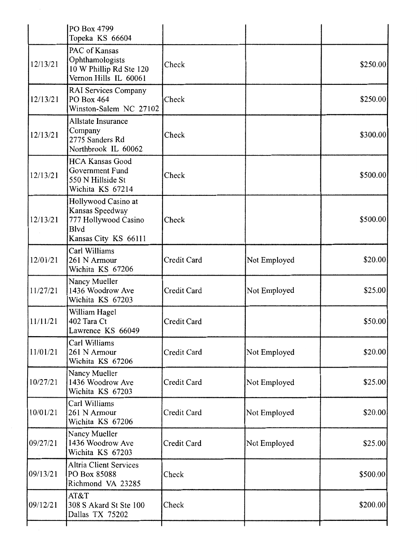|          | PO Box 4799<br>Topeka KS 66604                                                                        |             |              |          |
|----------|-------------------------------------------------------------------------------------------------------|-------------|--------------|----------|
| 12/13/21 | PAC of Kansas<br>Ophthamologists<br>10 W Phillip Rd Ste 120<br>Vernon Hills IL 60061                  | Check       |              | \$250.00 |
| 12/13/21 | <b>RAI Services Company</b><br>PO Box 464<br>Winston-Salem NC 27102                                   | Check       |              | \$250.00 |
| 12/13/21 | Allstate Insurance<br>Company<br>2775 Sanders Rd<br>Northbrook IL 60062                               | Check       |              | \$300.00 |
| 12/13/21 | <b>HCA Kansas Good</b><br>Government Fund<br>550 N Hillside St<br>Wichita KS 67214                    | Check       |              | \$500.00 |
| 12/13/21 | Hollywood Casino at<br>Kansas Speedway<br>777 Hollywood Casino<br><b>Blvd</b><br>Kansas City KS 66111 | Check       |              | \$500.00 |
| 12/01/21 | Carl Williams<br>261 N Armour<br>Wichita KS 67206                                                     | Credit Card | Not Employed | \$20.00  |
| 11/27/21 | Nancy Mueller<br>1436 Woodrow Ave<br>Wichita KS 67203                                                 | Credit Card | Not Employed | \$25.00  |
| 11/11/21 | William Hagel<br>402 Tara Ct<br>Lawrence KS 66049                                                     | Credit Card |              | \$50.00  |
| 11/01/21 | Carl Williams<br>261 N Armour<br>Wichita KS 67206                                                     | Credit Card | Not Employed | \$20.00  |
| 10/27/21 | Nancy Mueller<br>1436 Woodrow Ave<br>Wichita KS 67203                                                 | Credit Card | Not Employed | \$25.00  |
| 10/01/21 | Carl Williams<br>261 N Armour<br>Wichita KS 67206                                                     | Credit Card | Not Employed | \$20.00  |
| 09/27/21 | Nancy Mueller<br>1436 Woodrow Ave<br>Wichita KS 67203                                                 | Credit Card | Not Employed | \$25.00  |
| 09/13/21 | <b>Altria Client Services</b><br>PO Box 85088<br>Richmond VA 23285                                    | Check       |              | \$500.00 |
| 09/12/21 | AT&T<br>308 S Akard St Ste 100<br>Dallas TX 75202                                                     | Check       |              | \$200.00 |
|          |                                                                                                       |             |              |          |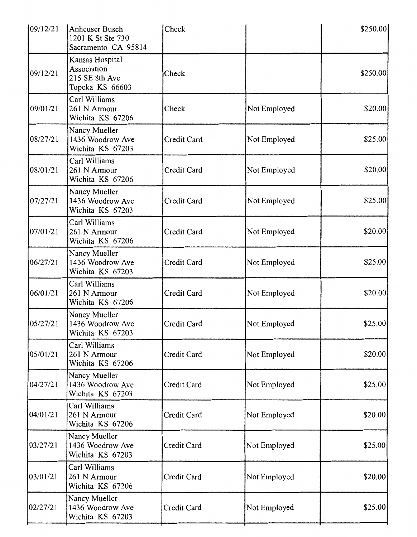| 109/12/21 | Anheuser Busch<br>1201 K St Ste 730<br>Sacramento CA 95814          | Check       |              | \$250.00 |
|-----------|---------------------------------------------------------------------|-------------|--------------|----------|
| 09/12/21  | Kansas Hospital<br>Association<br>215 SE 8th Ave<br>Topeka KS 66603 | Check       |              | \$250.00 |
| 09/01/21  | Carl Williams<br>261 N Armour<br>Wichita KS 67206                   | Check       | Not Employed | \$20.00  |
| 08/27/21  | Nancy Mueller<br>1436 Woodrow Ave<br>Wichita KS 67203               | Credit Card | Not Employed | \$25.00  |
| 08/01/21  | Carl Williams<br>261 N Armour<br>Wichita KS 67206                   | Credit Card | Not Employed | \$20.00  |
| 07/27/21  | Nancy Mueller<br>1436 Woodrow Ave<br>Wichita KS 67203               | Credit Card | Not Employed | \$25.00  |
| 07/01/21  | Carl Williams<br>261 N Armour<br>Wichita KS 67206                   | Credit Card | Not Employed | \$20.00  |
| 06/27/21  | Nancy Mueller<br>1436 Woodrow Ave<br>Wichita KS 67203               | Credit Card | Not Employed | \$25.00  |
| 06/01/21  | Carl Williams<br>261 N Armour<br>Wichita KS 67206                   | Credit Card | Not Employed | \$20.00  |
| 05/27/21  | Nancy Mueller<br>1436 Woodrow Ave<br>Wichita KS 67203               | Credit Card | Not Employed | \$25.00] |
| 05/01/21  | Carl Williams<br>261 N Armour<br>Wichita KS 67206                   | Credit Card | Not Employed | \$20.00] |
| 04/27/21  | Nancy Mueller<br>1436 Woodrow Ave<br>Wichita KS 67203               | Credit Card | Not Employed | \$25.00  |
| 04/01/21  | Carl Williams<br>261 N Armour<br>Wichita KS 67206                   | Credit Card | Not Employed | \$20.00  |
| 03/27/21  | Nancy Mueller<br>1436 Woodrow Ave<br>Wichita KS 67203               | Credit Card | Not Employed | \$25.00  |
| 03/01/21  | Carl Williams<br>261 N Armour<br>Wichita KS 67206                   | Credit Card | Not Employed | \$20.00] |
| 02/27/21  | Nancy Mueller<br>1436 Woodrow Ave<br>Wichita KS 67203               | Credit Card | Not Employed | \$25.00  |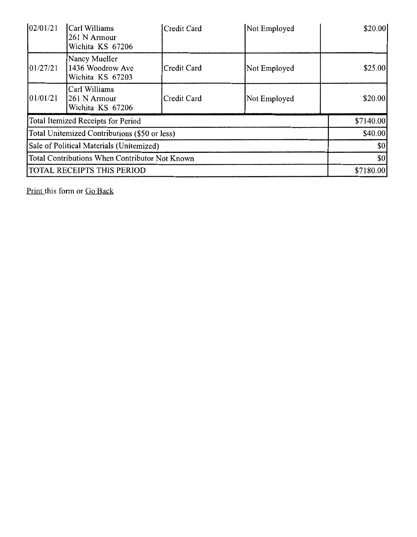| 02/01/21 | Carl Williams<br>261 N Armour<br>Wichita KS 67206     | Credit Card | Not Employed | \$20.00]  |
|----------|-------------------------------------------------------|-------------|--------------|-----------|
| 01/27/21 | Nancy Mueller<br>1436 Woodrow Ave<br>Wichita KS 67203 | Credit Card | Not Employed | \$25.00   |
| 01/01/21 | Carl Williams<br>261 N Armour<br>Wichita KS 67206     | Credit Card | Not Employed | \$20.00   |
|          | Total Itemized Receipts for Period                    |             |              | \$7140.00 |
|          | Total Unitemized Contributions (\$50 or less)         |             |              | \$40.00   |
|          | Sale of Political Materials (Unitemized)              |             |              | \$0       |
|          | Total Contributions When Contributor Not Known        |             |              | \$0       |
|          | TOTAL RECEIPTS THIS PERIOD                            |             |              | \$7180.00 |

Print this form or Go Back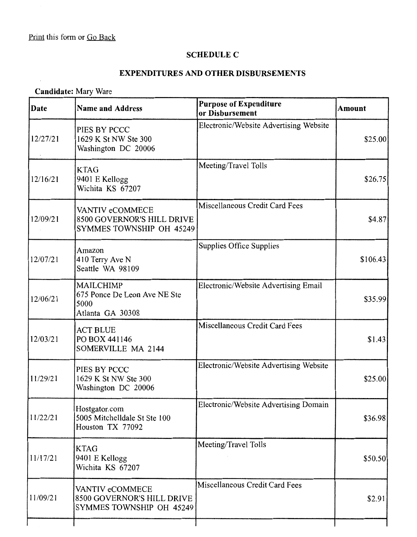## **SCHEDULE C**

## **EXPENDITURES AND OTHER DISBURSEMENTS**

# **Candidate:** Mary Ware

| Date     | <b>Name and Address</b>                                                      | <b>Purpose of Expenditure</b><br>or Disbursement | <b>Amount</b> |
|----------|------------------------------------------------------------------------------|--------------------------------------------------|---------------|
| 12/27/21 | PIES BY PCCC<br>1629 K St NW Ste 300<br>Washington DC 20006                  | Electronic/Website Advertising Website           | \$25.00       |
| 12/16/21 | <b>KTAG</b><br>9401 E Kellogg<br>Wichita KS 67207                            | Meeting/Travel Tolls                             | \$26.75       |
| 12/09/21 | VANTIV eCOMMECE<br>8500 GOVERNOR'S HILL DRIVE<br>SYMMES TOWNSHIP OH 45249    | Miscellaneous Credit Card Fees                   | \$4.87        |
| 12/07/21 | Amazon<br>410 Terry Ave N<br>Seattle WA 98109                                | Supplies Office Supplies                         | \$106.43]     |
| 12/06/21 | <b>MAILCHIMP</b><br>675 Ponce De Leon Ave NE Ste<br>5000<br>Atlanta GA 30308 | Electronic/Website Advertising Email             | \$35.99       |
| 12/03/21 | <b>ACT BLUE</b><br>PO BOX 441146<br>SOMERVILLE MA 2144                       | Miscellaneous Credit Card Fees                   | \$1.43        |
| 11/29/21 | PIES BY PCCC<br>1629 K St NW Ste 300<br>Washington DC 20006                  | Electronic/Website Advertising Website           | \$25.00       |
| 11/22/21 | Hostgator.com<br>5005 Mitchelldale St Ste 100<br>Houston TX 77092            | Electronic/Website Advertising Domain            | \$36.98       |
| 11/17/21 | <b>KTAG</b><br>9401 E Kellogg<br>Wichita KS 67207                            | Meeting/Travel Tolls                             | \$50.50]      |
| 11/09/21 | VANTIV eCOMMECE<br>8500 GOVERNOR'S HILL DRIVE<br>SYMMES TOWNSHIP OH 45249    | Miscellaneous Credit Card Fees                   | \$2.91        |
|          |                                                                              |                                                  |               |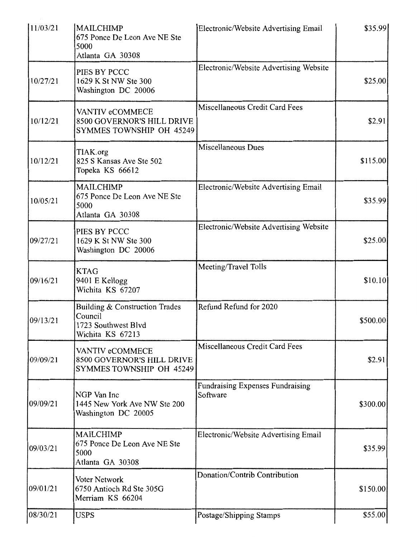| 11/03/21 | <b>MAILCHIMP</b><br>675 Ponce De Leon Ave NE Ste<br>5000<br>Atlanta GA 30308         | Electronic/Website Advertising Email                | \$35.99  |
|----------|--------------------------------------------------------------------------------------|-----------------------------------------------------|----------|
| 10/27/21 | PIES BY PCCC<br>1629 K St NW Ste 300<br>Washington DC 20006                          | Electronic/Website Advertising Website              | \$25.00  |
| 10/12/21 | VANTIV eCOMMECE<br>8500 GOVERNOR'S HILL DRIVE<br>SYMMES TOWNSHIP OH 45249            | Miscellaneous Credit Card Fees                      | \$2.91   |
| 10/12/21 | TIAK.org<br>825 S Kansas Ave Ste 502<br>Topeka KS 66612                              | Miscellaneous Dues                                  | \$115.00 |
| 10/05/21 | <b>MAILCHIMP</b><br>675 Ponce De Leon Ave NE Ste<br>5000<br>Atlanta GA 30308         | Electronic/Website Advertising Email                | \$35.99  |
| 09/27/21 | PIES BY PCCC<br>1629 K St NW Ste 300<br>Washington DC 20006                          | Electronic/Website Advertising Website              | \$25.00  |
| 09/16/21 | <b>KTAG</b><br>9401 E Kellogg<br>Wichita KS 67207                                    | Meeting/Travel Tolls                                | \$10.10  |
| 09/13/21 | Building & Construction Trades<br>Council<br>1723 Southwest Blvd<br>Wichita KS 67213 | Refund Refund for 2020                              | \$500.00 |
| 09/09/21 | VANTIV eCOMMECE<br>8500 GOVERNOR'S HILL DRIVE<br>SYMMES TOWNSHIP OH 45249            | Miscellaneous Credit Card Fees                      | \$2.91   |
| 09/09/21 | NGP Van Inc<br>1445 New York Ave NW Ste 200<br>Washington DC 20005                   | <b>Fundraising Expenses Fundraising</b><br>Software | \$300.00 |
| 09/03/21 | <b>MAILCHIMP</b><br>675 Ponce De Leon Ave NE Ste<br>5000<br>Atlanta GA 30308         | Electronic/Website Advertising Email                | \$35.99  |
| 09/01/21 | Voter Network<br>6750 Antioch Rd Ste 305G<br>Merriam KS 66204                        | Donation/Contrib Contribution                       | \$150.00 |
| 08/30/21 | <b>USPS</b>                                                                          | Postage/Shipping Stamps                             | \$55.00  |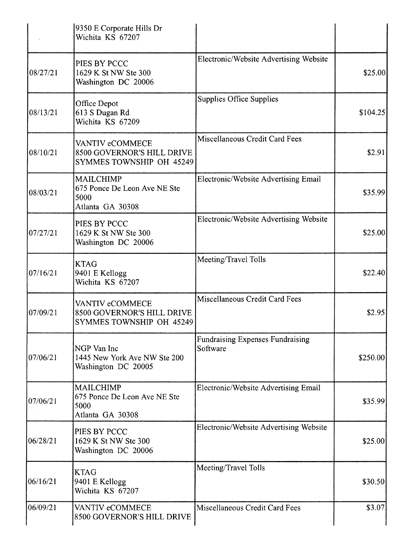|           | 9350 E Corporate Hills Dr<br>Wichita KS 67207                                |                                                     |          |
|-----------|------------------------------------------------------------------------------|-----------------------------------------------------|----------|
| 08/27/21  | PIES BY PCCC<br>1629 K St NW Ste 300<br>Washington DC 20006                  | Electronic/Website Advertising Website              | \$25.00  |
| 08/13/21  | Office Depot<br>613 S Dugan Rd<br>Wichita KS 67209                           | <b>Supplies Office Supplies</b>                     | \$104.25 |
| 08/10/21  | VANTIV eCOMMECE<br>8500 GOVERNOR'S HILL DRIVE<br>SYMMES TOWNSHIP OH 45249    | Miscellaneous Credit Card Fees                      | \$2.91   |
| 08/03/21  | MAILCHIMP<br>675 Ponce De Leon Ave NE Ste<br>5000<br>Atlanta GA 30308        | Electronic/Website Advertising Email                | \$35.99  |
| 07/27/21  | PIES BY PCCC<br>1629 K St NW Ste 300<br>Washington DC 20006                  | Electronic/Website Advertising Website              | \$25.00  |
| 07/16/21  | <b>KTAG</b><br>9401 E Kellogg<br>Wichita KS 67207                            | Meeting/Travel Tolls                                | \$22.40  |
| 07/09/21  | VANTIV eCOMMECE<br>8500 GOVERNOR'S HILL DRIVE<br>SYMMES TOWNSHIP OH 45249    | Miscellaneous Credit Card Fees                      | \$2.95   |
| 107/06/21 | NGP Van Inc<br>1445 New York Ave NW Ste 200<br>Washington DC 20005           | <b>Fundraising Expenses Fundraising</b><br>Software | \$250.00 |
| 07/06/21  | <b>MAILCHIMP</b><br>675 Ponce De Leon Ave NE Ste<br>5000<br>Atlanta GA 30308 | Electronic/Website Advertising Email                | \$35.99  |
| 06/28/21  | PIES BY PCCC<br>1629 K St NW Ste 300<br>Washington DC 20006                  | Electronic/Website Advertising Website              | \$25.00  |
| 06/16/21  | <b>KTAG</b><br>9401 E Kellogg<br>Wichita KS 67207                            | Meeting/Travel Tolls                                | \$30.50] |
| 06/09/21  | VANTIV eCOMMECE<br>8500 GOVERNOR'S HILL DRIVE                                | Miscellaneous Credit Card Fees                      | \$3.07   |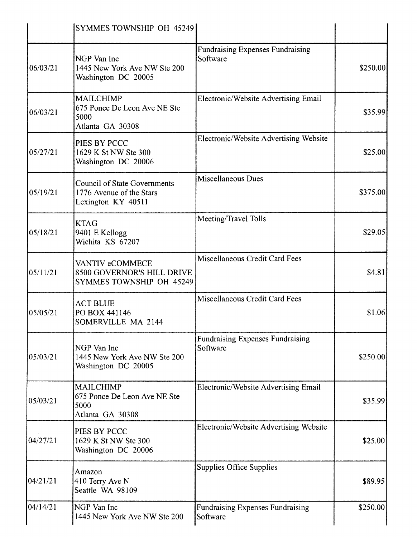|          | SYMMES TOWNSHIP OH 45249                                                              |                                                     |          |
|----------|---------------------------------------------------------------------------------------|-----------------------------------------------------|----------|
| 06/03/21 | NGP Van Inc<br>1445 New York Ave NW Ste 200<br>Washington DC 20005                    | <b>Fundraising Expenses Fundraising</b><br>Software | \$250.00 |
| 06/03/21 | <b>MAILCHIMP</b><br>675 Ponce De Leon Ave NE Ste<br>5000<br>Atlanta GA 30308          | Electronic/Website Advertising Email                | \$35.99  |
| 05/27/21 | PIES BY PCCC<br>1629 K St NW Ste 300<br>Washington DC 20006                           | Electronic/Website Advertising Website              | \$25.00  |
| 05/19/21 | <b>Council of State Governments</b><br>1776 Avenue of the Stars<br>Lexington KY 40511 | <b>Miscellaneous Dues</b>                           | \$375.00 |
| 05/18/21 | <b>KTAG</b><br>9401 E Kellogg<br>Wichita KS 67207                                     | Meeting/Travel Tolls                                | \$29.05  |
| 05/11/21 | VANTIV eCOMMECE<br>8500 GOVERNOR'S HILL DRIVE<br>SYMMES TOWNSHIP OH 45249             | Miscellaneous Credit Card Fees                      | \$4.81   |
| 05/05/21 | <b>ACT BLUE</b><br>PO BOX 441146<br>SOMERVILLE MA 2144                                | Miscellaneous Credit Card Fees                      | \$1.06   |
| 05/03/21 | NGP Van Inc<br>1445 New York Ave NW Ste 200<br>Washington DC 20005                    | <b>Fundraising Expenses Fundraising</b><br>Software | \$250.00 |
| 05/03/21 | <b>MAILCHIMP</b><br>675 Ponce De Leon Ave NE Ste<br>5000<br>Atlanta GA 30308          | Electronic/Website Advertising Email                | \$35.99  |
| 04/27/21 | PIES BY PCCC<br>1629 K St NW Ste 300<br>Washington DC 20006                           | Electronic/Website Advertising Website              | \$25.00  |
| 04/21/21 | Amazon<br>410 Terry Ave N<br>Seattle WA 98109                                         | <b>Supplies Office Supplies</b>                     | \$89.95  |
| 04/14/21 | NGP Van Inc<br>1445 New York Ave NW Ste 200                                           | <b>Fundraising Expenses Fundraising</b><br>Software | \$250.00 |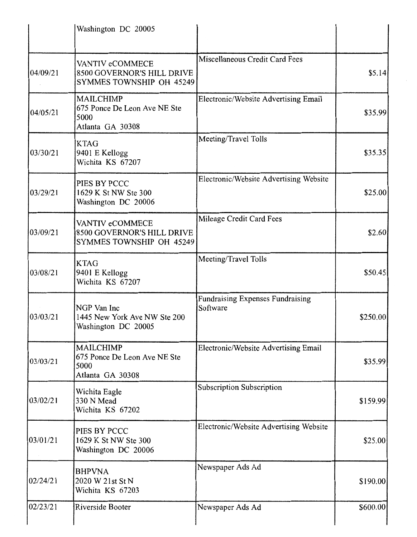|          | Washington DC 20005                                                          |                                                     |           |
|----------|------------------------------------------------------------------------------|-----------------------------------------------------|-----------|
| 04/09/21 | VANTIV eCOMMECE<br>8500 GOVERNOR'S HILL DRIVE<br>SYMMES TOWNSHIP OH 45249    | Miscellaneous Credit Card Fees                      | \$5.14    |
| 04/05/21 | <b>MAILCHIMP</b><br>675 Ponce De Leon Ave NE Ste<br>5000<br>Atlanta GA 30308 | Electronic/Website Advertising Email                | \$35.99   |
| 03/30/21 | <b>KTAG</b><br>9401 E Kellogg<br>Wichita KS 67207                            | Meeting/Travel Tolls                                | \$35.35   |
| 03/29/21 | PIES BY PCCC<br>1629 K St NW Ste 300<br>Washington DC 20006                  | Electronic/Website Advertising Website              | \$25.00   |
| 03/09/21 | VANTIV eCOMMECE<br>8500 GOVERNOR'S HILL DRIVE<br>SYMMES TOWNSHIP OH 45249    | Mileage Credit Card Fees                            | \$2.60    |
| 03/08/21 | <b>KTAG</b><br>9401 E Kellogg<br>Wichita KS 67207                            | Meeting/Travel Tolls                                | \$50.45   |
| 03/03/21 | NGP Van Inc<br>1445 New York Ave NW Ste 200<br>Washington DC 20005           | <b>Fundraising Expenses Fundraising</b><br>Software | \$250.00] |
| 03/03/21 | <b>MAILCHIMP</b><br>675 Ponce De Leon Ave NE Ste<br>5000<br>Atlanta GA 30308 | Electronic/Website Advertising Email                | \$35.99   |
| 03/02/21 | Wichita Eagle<br>330 N Mead<br>Wichita KS 67202                              | Subscription Subscription                           | \$159.99  |
| 03/01/21 | PIES BY PCCC<br>1629 K St NW Ste 300<br>Washington DC 20006                  | Electronic/Website Advertising Website              | \$25.00   |
| 02/24/21 | <b>BHPVNA</b><br>2020 W 21st St N<br>Wichita KS 67203                        | Newspaper Ads Ad                                    | \$190.00  |
| 02/23/21 | Riverside Booter                                                             | Newspaper Ads Ad                                    | \$600.00  |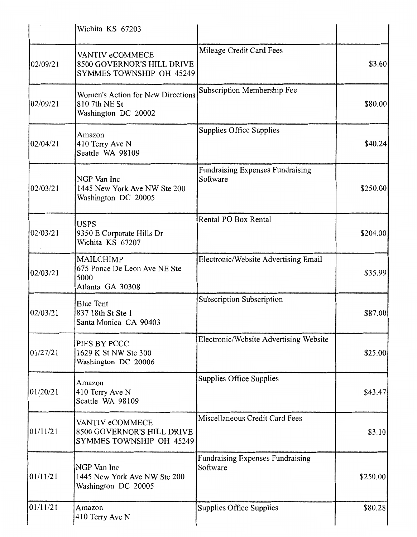|          | Wichita KS 67203                                                                 |                                                     |          |
|----------|----------------------------------------------------------------------------------|-----------------------------------------------------|----------|
| 02/09/21 | VANTIV eCOMMECE<br>8500 GOVERNOR'S HILL DRIVE<br>SYMMES TOWNSHIP OH 45249        | Mileage Credit Card Fees                            | \$3.60   |
| 02/09/21 | <b>Women's Action for New Directions</b><br>810 7th NE St<br>Washington DC 20002 | Subscription Membership Fee                         | \$80.00  |
| 02/04/21 | Amazon<br>410 Terry Ave N<br>Seattle WA 98109                                    | Supplies Office Supplies                            | \$40.24  |
| 02/03/21 | NGP Van Inc<br>1445 New York Ave NW Ste 200<br>Washington DC 20005               | <b>Fundraising Expenses Fundraising</b><br>Software | \$250.00 |
| 02/03/21 | <b>USPS</b><br>9350 E Corporate Hills Dr<br>Wichita KS 67207                     | Rental PO Box Rental                                | \$204.00 |
| 02/03/21 | <b>MAILCHIMP</b><br>675 Ponce De Leon Ave NE Ste<br>5000<br>Atlanta GA 30308     | Electronic/Website Advertising Email                | \$35.99  |
| 02/03/21 | <b>Blue Tent</b><br>837 18th St Ste 1<br>Santa Monica CA 90403                   | Subscription Subscription                           | \$87.00  |
| 01/27/21 | PIES BY PCCC<br>1629 K St NW Ste 300<br>Washington DC 20006                      | Electronic/Website Advertising Website              | \$25.00  |
| 01/20/21 | Amazon<br>410 Terry Ave N<br>Seattle WA 98109                                    | Supplies Office Supplies                            | \$43.47  |
| 01/11/21 | VANTIV eCOMMECE<br>8500 GOVERNOR'S HILL DRIVE<br>SYMMES TOWNSHIP OH 45249        | Miscellaneous Credit Card Fees                      | \$3.10   |
| 01/11/21 | NGP Van Inc<br>1445 New York Ave NW Ste 200<br>Washington DC 20005               | Fundraising Expenses Fundraising<br>Software        | \$250.00 |
| 01/11/21 | Amazon<br>410 Terry Ave N                                                        | Supplies Office Supplies                            | \$80.28  |